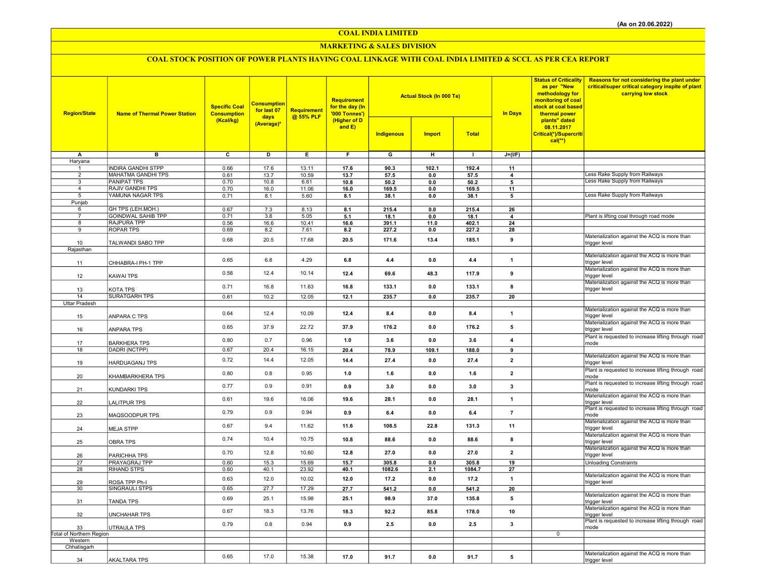COAL INDIA LIMITED

### MARKETING & SALES DIVISION

# COAL STOCK POSITION OF POWER PLANTS HAVING COAL LINKAGE WITH COAL INDIA LIMITED & SCCL AS PER CEA REPORT

| <b>Region/State</b>      | <b>Name of Thermal Power Station</b> | <b>Specific Coal</b><br><b>Consumption</b><br>(Kcal/kg) | <b>Consumption</b><br>for last 07<br>days<br>(Average)* | Requirement<br>@ 55% PLF | Requirement<br>for the day (In<br>'000 Tonnes')<br>(Higher of D<br>and $E$ ) |                         | <b>Actual Stock (In 000 Te)</b> |              | <b>In Days</b>          | <b>Status of Criticality</b><br>as per "New<br>methodology for<br>monitoring of coal<br>stock at coal based<br>thermal power<br>plants" dated<br>08.11.2017<br>Critical(*)/Supercriti<br>$cal(**)$ | <b>Reasons for not considering the plant under</b><br>critical/super critical category inspite of plant<br>carrying low stock |
|--------------------------|--------------------------------------|---------------------------------------------------------|---------------------------------------------------------|--------------------------|------------------------------------------------------------------------------|-------------------------|---------------------------------|--------------|-------------------------|----------------------------------------------------------------------------------------------------------------------------------------------------------------------------------------------------|-------------------------------------------------------------------------------------------------------------------------------|
|                          |                                      |                                                         |                                                         |                          |                                                                              | Indigenous              | <b>Import</b>                   | <b>Total</b> |                         |                                                                                                                                                                                                    |                                                                                                                               |
| A                        | $\overline{B}$                       | $\overline{\mathbf{c}}$                                 | ъ                                                       | Έ                        | F                                                                            | $\overline{\mathsf{G}}$ | $\overline{H}$                  | $\mathbf{L}$ | $J=(I/F)$               |                                                                                                                                                                                                    |                                                                                                                               |
| Haryana<br>$\mathbf{1}$  | <b>INDIRA GANDHI STPP</b>            | 0.66                                                    | 17.6                                                    | 13.11                    | 17.6                                                                         | 90.3                    | 102.1                           | 192.4        | 11                      |                                                                                                                                                                                                    |                                                                                                                               |
| $\overline{2}$           | MAHATMA GANDHI TPS                   | 0.61                                                    | 13.7                                                    | 10.59                    | 13.7                                                                         | 57.5                    | 0.0                             | 57.5         | $\overline{4}$          |                                                                                                                                                                                                    | ess Rake Supply from Railways                                                                                                 |
| 3                        | <b>PANIPAT TPS</b>                   | 0.70                                                    | 10.8                                                    | 6.61                     | 10.8                                                                         | 50.2                    | 0.0                             | 50.2         | 5                       |                                                                                                                                                                                                    | Less Rake Supply from Railways                                                                                                |
| $\overline{4}$           | <b>RAJIV GANDHI TPS</b>              | 0.70                                                    | 16.0                                                    | 11.06                    | 16.0                                                                         | 169.5                   | $0.0\,$                         | 169.5        | 11                      |                                                                                                                                                                                                    |                                                                                                                               |
| 5<br>Punjab              | YAMUNA NAGAR TPS                     | 0.71                                                    | 8.1                                                     | 5.60                     | 8.1                                                                          | 38.1                    | 0.0                             | 38.1         | 5                       |                                                                                                                                                                                                    | Less Rake Supply from Railways                                                                                                |
| 6                        | GH TPS (LEH.MOH.)                    | 0.67                                                    | 7.3                                                     | 8.13                     | 8.1                                                                          | 215.4                   | 0.0                             | 215.4        | 26                      |                                                                                                                                                                                                    |                                                                                                                               |
| $\overline{7}$           | <b>GOINDWAL SAHIB TPP</b>            | 0.71                                                    | 3.8                                                     | 5.05                     | 5.1                                                                          | 18.1                    | 0.0                             | 18.1         | $\Delta$                |                                                                                                                                                                                                    | Plant is lifting coal through road mode                                                                                       |
| 8                        | <b>RAJPURA TPP</b>                   | 0.56                                                    | 16.6                                                    | 10.41                    | 16.6                                                                         | 391.1                   | 11.0                            | 402.1        | 24                      |                                                                                                                                                                                                    |                                                                                                                               |
| 9                        | <b>ROPAR TPS</b>                     | 0.69                                                    | 8.2                                                     | 7.61                     | 8.2                                                                          | 227.2                   | 0.0                             | 227.2        | 28                      |                                                                                                                                                                                                    | Materialization against the ACQ is more than                                                                                  |
| 10                       | TALWANDI SABO TPP                    | 0.68                                                    | 20.5                                                    | 17.68                    | 20.5                                                                         | 171.6                   | 13.4                            | 185.1        | 9                       |                                                                                                                                                                                                    | trigger level                                                                                                                 |
| Rajasthan                |                                      |                                                         |                                                         |                          |                                                                              |                         |                                 |              |                         |                                                                                                                                                                                                    |                                                                                                                               |
| 11                       | CHHABRA-I PH-1 TPP                   | 0.65                                                    | 6.8                                                     | 4.29                     | 6.8                                                                          | 4.4                     | 0.0                             | 4.4          | $\mathbf{1}$            |                                                                                                                                                                                                    | Materialization against the ACQ is more than<br>trigger level                                                                 |
|                          |                                      |                                                         |                                                         |                          |                                                                              |                         |                                 |              |                         |                                                                                                                                                                                                    | Materialization against the ACQ is more than                                                                                  |
| 12                       | KAWAI TPS                            | 0.58                                                    | 12.4                                                    | 10.14                    | 12.4                                                                         | 69.6                    | 48.3                            | 117.9        | 9                       |                                                                                                                                                                                                    | trigger level                                                                                                                 |
|                          |                                      | 0.71                                                    | 16.8                                                    | 11.63                    | 16.8                                                                         | 133.1                   | 0.0                             | 133.1        | 8                       |                                                                                                                                                                                                    | Materialization against the ACQ is more than                                                                                  |
| 13<br>14                 | KOTA TPS<br><b>SURATGARH TPS</b>     | 0.61                                                    | 10.2                                                    | 12.05                    | 12.1                                                                         | 235.7                   | 0.0                             | 235.7        | 20                      |                                                                                                                                                                                                    | trigger level                                                                                                                 |
| Uttar Pradesh            |                                      |                                                         |                                                         |                          |                                                                              |                         |                                 |              |                         |                                                                                                                                                                                                    |                                                                                                                               |
| 15                       | ANPARA C TPS                         | 0.64                                                    | 12.4                                                    | 10.09                    | 12.4                                                                         | 8.4                     | 0.0                             | 8.4          | $\mathbf{1}$            |                                                                                                                                                                                                    | Materialization against the ACQ is more than<br>trigger level                                                                 |
| 16                       | ANPARA TPS                           | 0.65                                                    | 37.9                                                    | 22.72                    | 37.9                                                                         | 176.2                   | 0.0                             | 176.2        | 5                       |                                                                                                                                                                                                    | Materialization against the ACQ is more than<br>trigger level                                                                 |
| 17                       | <b>BARKHERA TPS</b>                  | 0.80                                                    | 0.7                                                     | 0.96                     | 1.0                                                                          | 3.6                     | 0.0                             | 3.6          | $\overline{4}$          |                                                                                                                                                                                                    | Plant is requested to increase lifting through road<br>mode                                                                   |
| 18                       | DADRI (NCTPP)                        | 0.67                                                    | 20.4                                                    | 16.15                    | 20.4                                                                         | 78.9                    | 109.1                           | 188.0        | 9                       |                                                                                                                                                                                                    |                                                                                                                               |
| 19                       | HARDUAGANJ TPS                       | 0.72                                                    | 14.4                                                    | 12.05                    | 14.4                                                                         | 27.4                    | 0.0                             | 27.4         | $\overline{2}$          |                                                                                                                                                                                                    | Materialization against the ACQ is more than<br>trigger level                                                                 |
| 20                       | KHAMBARKHERA TPS                     | 0.80                                                    | 0.8                                                     | 0.95                     | 1.0                                                                          | 1.6                     | 0.0                             | 1.6          | $\overline{2}$          |                                                                                                                                                                                                    | Plant is requested to increase lifting through road<br>mode                                                                   |
| 21                       | KUNDARKI TPS                         | 0.77                                                    | 0.9                                                     | 0.91                     | 0.9                                                                          | 3.0                     | 0.0                             | 3.0          | 3                       |                                                                                                                                                                                                    | Plant is requested to increase lifting through road<br>mode                                                                   |
| 22                       | LALITPUR TPS                         | 0.61                                                    | 19.6                                                    | 16.06                    | 19.6                                                                         | 28.1                    | 0.0                             | 28.1         | $\mathbf{1}$            |                                                                                                                                                                                                    | Materialization against the ACQ is more than<br>trigger level<br>Plant is requested to increase lifting through road          |
| 23                       | MAQSOODPUR TPS                       | 0.79                                                    | 0.9                                                     | 0.94                     | 0.9                                                                          | 6.4                     | 0.0                             | 6.4          | $\overline{7}$          |                                                                                                                                                                                                    | mode<br>Materialization against the ACQ is more than                                                                          |
| 24                       | <b>MEJA STPP</b>                     | 0.67                                                    | 9.4                                                     | 11.62                    | 11.6                                                                         | 108.5                   | 22.8                            | 131.3        | 11                      |                                                                                                                                                                                                    | trigger level<br>Materialization against the ACQ is more than                                                                 |
| 25                       | <b>OBRA TPS</b>                      | 0.74                                                    | 10.4                                                    | 10.75                    | 10.8                                                                         | 88.6                    | 0.0                             | 88.6         | 8                       |                                                                                                                                                                                                    | trigger level<br>Materialization against the ACQ is more than                                                                 |
| 26                       | PARICHHA TPS                         | 0.70                                                    | 12.8                                                    | 10.60                    | 12.8                                                                         | 27.0                    | 0.0                             | 27.0         | $\overline{\mathbf{2}}$ |                                                                                                                                                                                                    | trigger level                                                                                                                 |
| 27                       | PRAYAGRAJ TPP                        | 0.60                                                    | 15.3                                                    | 15.69                    | 15.7                                                                         | 305.8                   | 0.0                             | 305.8        | 19                      |                                                                                                                                                                                                    | <b>Unloading Constraints</b>                                                                                                  |
| 28                       | <b>RIHAND STPS</b>                   | 0.60                                                    | 40.1                                                    | 23.92                    | 40.1                                                                         | 1082.6                  | 2.1                             | 1084.7       | 27                      |                                                                                                                                                                                                    | Materialization against the ACQ is more than                                                                                  |
| 29                       | ROSA TPP Ph-I                        | 0.63                                                    | 12.0                                                    | 10.02                    | 12.0                                                                         | 17.2                    | 0.0                             | 17.2         | $\mathbf{1}$            |                                                                                                                                                                                                    | trigger level                                                                                                                 |
| 30                       | SINGRAULI STPS                       | 0.65                                                    | 27.7                                                    | 17.29                    | 27.7                                                                         | 541.2                   | 0.0                             | 541.2        | 20                      |                                                                                                                                                                                                    |                                                                                                                               |
| 31                       | TANDA TPS                            | 0.69                                                    | 25.1                                                    | 15.98                    | 25.1                                                                         | 98.9                    | 37.0                            | 135.8        | 5                       |                                                                                                                                                                                                    | Materialization against the ACQ is more than<br>trigger level                                                                 |
| 32                       | <b>UNCHAHAR TPS</b>                  | 0.67                                                    | 18.3                                                    | 13.76                    | 18.3                                                                         | 92.2                    | 85.8                            | 178.0        | 10                      |                                                                                                                                                                                                    | Materialization against the ACQ is more than<br>trigger level                                                                 |
| 33                       | UTRAULA TPS                          | 0.79                                                    | 0.8                                                     | 0.94                     | 0.9                                                                          | 2.5                     | 0.0                             | 2.5          | 3                       |                                                                                                                                                                                                    | Plant is requested to increase lifting through road<br>mode                                                                   |
| Total of Northern Region |                                      |                                                         |                                                         |                          |                                                                              |                         |                                 |              |                         | $\mathbf 0$                                                                                                                                                                                        |                                                                                                                               |
| Western<br>Chhatisgarh   |                                      |                                                         |                                                         |                          |                                                                              |                         |                                 |              |                         |                                                                                                                                                                                                    |                                                                                                                               |
|                          |                                      |                                                         |                                                         |                          |                                                                              |                         |                                 |              |                         |                                                                                                                                                                                                    | Materialization against the ACQ is more than                                                                                  |
| 34                       | <b>AKALTARA TPS</b>                  | 0.65                                                    | 17.0                                                    | 15.38                    | 17.0                                                                         | 91.7                    | 0.0                             | 91.7         | 5                       |                                                                                                                                                                                                    | trigger level                                                                                                                 |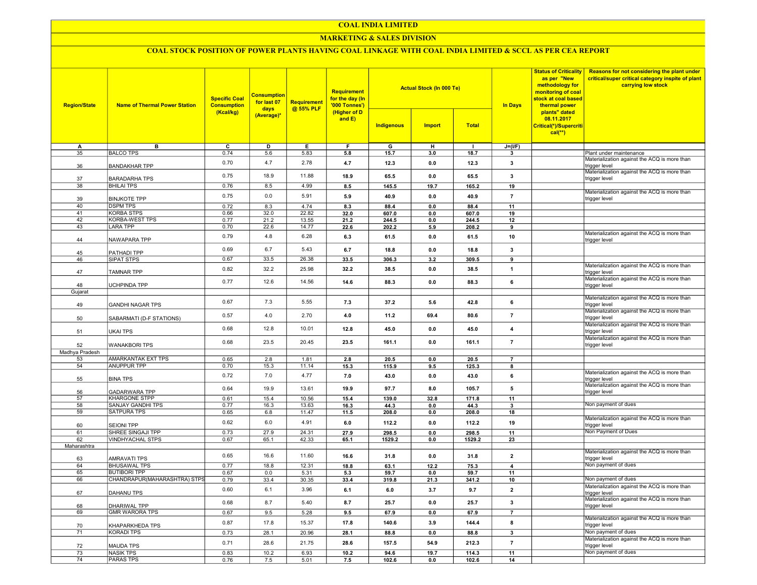### COAL INDIA LIMITED

### MARKETING & SALES DIVISION

## COAL STOCK POSITION OF POWER PLANTS HAVING COAL LINKAGE WITH COAL INDIA LIMITED & SCCL AS PER CEA REPORT

| <b>Region/State</b> | <b>Name of Thermal Power Station</b>         | <b>Specific Coal</b><br><b>Consumption</b><br>(Kcal/kg) | <b>Consumption</b><br>for last 07<br>days<br>(Average)* | Requirement<br>@ 55% PLF | Requirement<br>for the day (In<br>'000 Tonnes')<br>(Higher of D<br>and E) |                 | <b>Actual Stock (In 000 Te)</b> |                 | <b>Status of Criticality</b><br>as per "New<br>methodology for<br>monitoring of coal<br>stock at coal based<br><b>In Days</b><br>thermal power | Reasons for not considering the plant under<br>critical/super critical category inspite of plant<br>carrying low stock |                                                                                                               |
|---------------------|----------------------------------------------|---------------------------------------------------------|---------------------------------------------------------|--------------------------|---------------------------------------------------------------------------|-----------------|---------------------------------|-----------------|------------------------------------------------------------------------------------------------------------------------------------------------|------------------------------------------------------------------------------------------------------------------------|---------------------------------------------------------------------------------------------------------------|
|                     |                                              |                                                         |                                                         |                          |                                                                           | Indigenous      | <b>Import</b>                   | <b>Total</b>    |                                                                                                                                                | plants" dated<br>08.11.2017<br>Critical(*)/Supercriti<br>$cal(**)$                                                     |                                                                                                               |
| А                   | в                                            | $\overline{c}$                                          | D                                                       | E                        | F                                                                         | G               | н                               |                 | $J=(I/F)$                                                                                                                                      |                                                                                                                        |                                                                                                               |
| 35                  | <b>BALCO TPS</b>                             | 0.74                                                    | 5.6                                                     | 5.83                     | 5.8                                                                       | 15.7            | 3.0                             | 18.7            | $\mathbf{3}$                                                                                                                                   |                                                                                                                        | Plant under maintenance                                                                                       |
| 36                  | <b>BANDAKHAR TPP</b>                         | 0.70                                                    | 4.7                                                     | 2.78                     | 4.7                                                                       | 12.3            | 0.0                             | 12.3            | 3                                                                                                                                              |                                                                                                                        | Materialization against the ACQ is more than<br>trigger level<br>Materialization against the ACQ is more than |
| 37                  | <b>BARADARHA TPS</b>                         | 0.75                                                    | 18.9                                                    | 11.88                    | 18.9                                                                      | 65.5            | 0.0                             | 65.5            | 3                                                                                                                                              |                                                                                                                        | trigger level                                                                                                 |
| 38                  | <b>BHILAI TPS</b>                            | 0.76                                                    | 8.5                                                     | 4.99                     | 8.5                                                                       | 145.5           | 19.7                            | 165.2           | 19                                                                                                                                             |                                                                                                                        | Materialization against the ACQ is more than                                                                  |
| 39                  | <b>BINJKOTE TPP</b>                          | 0.75                                                    | 0.0                                                     | 5.91                     | 5.9                                                                       | 40.9            | 0.0                             | 40.9            | $\overline{7}$                                                                                                                                 |                                                                                                                        | trigger level                                                                                                 |
| 40<br>41            | <b>DSPM TPS</b><br><b>KORBA STPS</b>         | 0.72<br>0.66                                            | 8.3<br>32.0                                             | 4.74<br>22.82            | 8.3<br>32.0                                                               | 88.4<br>607.0   | 0.0<br>0.0                      | 88.4<br>607.0   | 11<br>19                                                                                                                                       |                                                                                                                        |                                                                                                               |
| $\overline{42}$     | <b>KORBA-WEST TPS</b>                        | 0.77                                                    | 21.2                                                    | 13.55                    | 21.2                                                                      | 244.5           | 0.0                             | 244.5           | 12                                                                                                                                             |                                                                                                                        |                                                                                                               |
| 43                  | <b>LARA TPP</b>                              | 0.70                                                    | 22.6                                                    | 14.77                    | 22.6                                                                      | 202.2           | 5.9                             | 208.2           | 9                                                                                                                                              |                                                                                                                        |                                                                                                               |
| 44                  | NAWAPARA TPP                                 | 0.79                                                    | 4.8                                                     | 6.28                     | 6.3                                                                       | 61.5            | 0.0                             | 61.5            | 10                                                                                                                                             |                                                                                                                        | Materialization against the ACQ is more than<br>trigger level                                                 |
| 45                  | PATHADI TPP                                  | 0.69                                                    | 6.7                                                     | 5.43                     | 6.7                                                                       | 18.8            | 0.0                             | 18.8            | $\mathbf{3}$                                                                                                                                   |                                                                                                                        |                                                                                                               |
| 46                  | SIPAT STPS                                   | 0.67                                                    | 33.5                                                    | 26.38                    | 33.5                                                                      | 306.3           | 3.2                             | 309.5           | 9                                                                                                                                              |                                                                                                                        |                                                                                                               |
| 47                  | <b>TAMNAR TPP</b>                            | 0.82                                                    | 32.2                                                    | 25.98                    | 32.2                                                                      | 38.5            | 0.0                             | 38.5            | $\mathbf{1}$                                                                                                                                   |                                                                                                                        | Materialization against the ACQ is more than<br>trigger level                                                 |
|                     |                                              | 0.77                                                    | 12.6                                                    | 14.56                    | 14.6                                                                      | 88.3            | 0.0                             | 88.3            | $\bf{6}$                                                                                                                                       |                                                                                                                        | Materialization against the ACQ is more than                                                                  |
| 48                  | UCHPINDA TPP                                 |                                                         |                                                         |                          |                                                                           |                 |                                 |                 |                                                                                                                                                |                                                                                                                        | trigger level                                                                                                 |
| Gujarat             |                                              |                                                         |                                                         |                          |                                                                           |                 |                                 |                 |                                                                                                                                                |                                                                                                                        |                                                                                                               |
| 49                  | <b>GANDHI NAGAR TPS</b>                      | 0.67                                                    | 7.3                                                     | 5.55                     | 7.3                                                                       | 37.2            | 5.6                             | 42.8            | 6                                                                                                                                              |                                                                                                                        | Materialization against the ACQ is more than<br>rigger level                                                  |
| 50                  | SABARMATI (D-F STATIONS)                     | 0.57                                                    | 4.0                                                     | 2.70                     | 4.0                                                                       | 11.2            | 69.4                            | 80.6            | $\overline{7}$                                                                                                                                 |                                                                                                                        | Materialization against the ACQ is more than<br>trigger level                                                 |
| 51                  | <b>UKAI TPS</b>                              | 0.68                                                    | 12.8                                                    | 10.01                    | 12.8                                                                      | 45.0            | 0.0                             | 45.0            | $\overline{\mathbf{4}}$                                                                                                                        |                                                                                                                        | Materialization against the ACQ is more than<br>trigger level                                                 |
| 52                  | <b>WANAKBORI TPS</b>                         | 0.68                                                    | 23.5                                                    | 20.45                    | 23.5                                                                      | 161.1           | 0.0                             | 161.1           | $\overline{7}$                                                                                                                                 |                                                                                                                        | Materialization against the ACQ is more than<br>trigger level                                                 |
| Madhya Pradesh      |                                              |                                                         |                                                         |                          |                                                                           |                 |                                 |                 |                                                                                                                                                |                                                                                                                        |                                                                                                               |
| 53                  | AMARKANTAK EXT TPS                           | 0.65                                                    | 2.8                                                     | 1.81                     | 2.8                                                                       | 20.5            | 0.0                             | 20.5            | $\overline{7}$                                                                                                                                 |                                                                                                                        |                                                                                                               |
| 54                  | <b>ANUPPUR TPP</b>                           | 0.70                                                    | 15.3                                                    | 11.14                    | 15.3                                                                      | 115.9           | 9.5                             | 125.3           | 8                                                                                                                                              |                                                                                                                        |                                                                                                               |
| 55                  | <b>BINA TPS</b>                              | 0.72                                                    | 7.0                                                     | 4.77                     | 7.0                                                                       | 43.0            | 0.0                             | 43.0            | 6                                                                                                                                              |                                                                                                                        | Materialization against the ACQ is more than<br>trigger level                                                 |
| 56                  | <b>GADARWARA TPP</b>                         | 0.64                                                    | 19.9                                                    | 13.61                    | 19.9                                                                      | 97.7            | 8.0                             | 105.7           | 5                                                                                                                                              |                                                                                                                        | Materialization against the ACQ is more than<br>trigger level                                                 |
| $\overline{57}$     | <b>KHARGONE STPP</b>                         | 0.61                                                    | 15.4                                                    | 10.56                    | 15.4                                                                      | 139.0           | 32.8                            | 171.8           | 11                                                                                                                                             |                                                                                                                        | Non payment of dues                                                                                           |
| 58                  | <b>SANJAY GANDHI TPS</b>                     | 0.77                                                    | 16.3                                                    | 13.63                    | 16.3                                                                      | 44.3            | 0.0                             | 44.3            | 3                                                                                                                                              |                                                                                                                        |                                                                                                               |
| 59                  | <b>SATPURA TPS</b>                           | 0.65<br>0.62                                            | 6.8<br>6.0                                              | 11.47<br>4.91            | 11.5<br>6.0                                                               | 208.0<br>112.2  | 0.0<br>0.0                      | 208.0<br>112.2  | 18<br>19                                                                                                                                       |                                                                                                                        | Materialization against the ACQ is more than                                                                  |
| 60                  | <b>SEIONI TPP</b>                            |                                                         |                                                         |                          |                                                                           |                 |                                 |                 |                                                                                                                                                |                                                                                                                        | trigger level                                                                                                 |
| 61<br>62            | SHREE SINGAJI TPP<br><b>VINDHYACHAL STPS</b> | 0.73<br>0.67                                            | 27.9<br>65.1                                            | 24.31<br>42.33           | 27.9<br>65.1                                                              | 298.5<br>1529.2 | 0.0<br>0.0                      | 298.5<br>1529.2 | 11<br>23                                                                                                                                       |                                                                                                                        | Non Payment of Dues                                                                                           |
| Maharashtra         |                                              |                                                         |                                                         |                          |                                                                           |                 |                                 |                 |                                                                                                                                                |                                                                                                                        |                                                                                                               |
| 63                  | AMRAVATI TPS                                 | 0.65                                                    | 16.6                                                    | 11.60                    | 16.6                                                                      | 31.8            | 0.0                             | 31.8            | $\overline{2}$                                                                                                                                 |                                                                                                                        | Materialization against the ACQ is more than<br>trigger level                                                 |
| 64                  | <b>BHUSAWAL TPS</b>                          | 0.77                                                    | 18.8                                                    | 12.31                    | 18.8                                                                      | 63.1            | 12.2                            | 75.3            | $\overline{4}$                                                                                                                                 |                                                                                                                        | Non payment of dues                                                                                           |
| 65                  | <b>BUTIBORI TPP</b>                          | 0.67                                                    | 0.0                                                     | 5.31                     | 5.3                                                                       | 59.7            | 0.0                             | 59.7            | 11                                                                                                                                             |                                                                                                                        |                                                                                                               |
| 66                  | CHANDRAPUR(MAHARASHTRA) STPS                 | 0.79                                                    | 33.4                                                    | 30.35                    | 33.4                                                                      | 319.8           | 21.3                            | 341.2           | 10                                                                                                                                             |                                                                                                                        | Non payment of dues                                                                                           |
| 67                  | DAHANU TPS                                   | 0.60                                                    | 6.1                                                     | 3.96                     | 6.1                                                                       | $6.0\,$         | 3.7                             | 9.7             | $\mathbf 2$                                                                                                                                    |                                                                                                                        | Materialization against the ACQ is more than<br>trigger level                                                 |
| 68                  | <b>DHARIWAL TPP</b>                          | 0.68                                                    | 8.7                                                     | 5.40                     | 8.7                                                                       | 25.7            | 0.0                             | 25.7            | $\mathbf{3}$                                                                                                                                   |                                                                                                                        | Materialization against the ACQ is more than<br>trigger level                                                 |
| 69                  | <b>GMR WARORA TPS</b>                        | 0.67                                                    | 9.5                                                     | 5.28                     | 9.5                                                                       | 67.9            | 0.0                             | 67.9            | $\overline{7}$                                                                                                                                 |                                                                                                                        |                                                                                                               |
| 70                  | KHAPARKHEDA TPS                              | 0.87                                                    | 17.8                                                    | 15.37                    | 17.8                                                                      | 140.6           | 3.9                             | 144.4           | 8                                                                                                                                              |                                                                                                                        | Materialization against the ACQ is more than<br>trigger level                                                 |
| $\overline{71}$     | <b>KORADI TPS</b>                            | 0.73                                                    | 28.1                                                    | 20.96                    | 28.1                                                                      | 88.8            | 0.0                             | 88.8            | $\overline{\mathbf{3}}$                                                                                                                        |                                                                                                                        | Non payment of dues                                                                                           |
| 72                  | <b>MAUDA TPS</b>                             | 0.71                                                    | 28.6                                                    | 21.75                    | 28.6                                                                      | 157.5           | 54.9                            | 212.3           | $\overline{7}$                                                                                                                                 |                                                                                                                        | Materialization against the ACQ is more than<br>trigger level                                                 |
| $\overline{73}$     | <b>NASIK TPS</b>                             | 0.83                                                    | 10.2                                                    | 6.93                     | 10.2                                                                      | 94.6            | 19.7                            | 114.3           | 11                                                                                                                                             |                                                                                                                        | Non payment of dues                                                                                           |
| $\overline{74}$     | <b>PARAS TPS</b>                             | 0.76                                                    | 7.5                                                     | 5.01                     | 7.5                                                                       | 102.6           | 0.0                             | 102.6           | 14                                                                                                                                             |                                                                                                                        |                                                                                                               |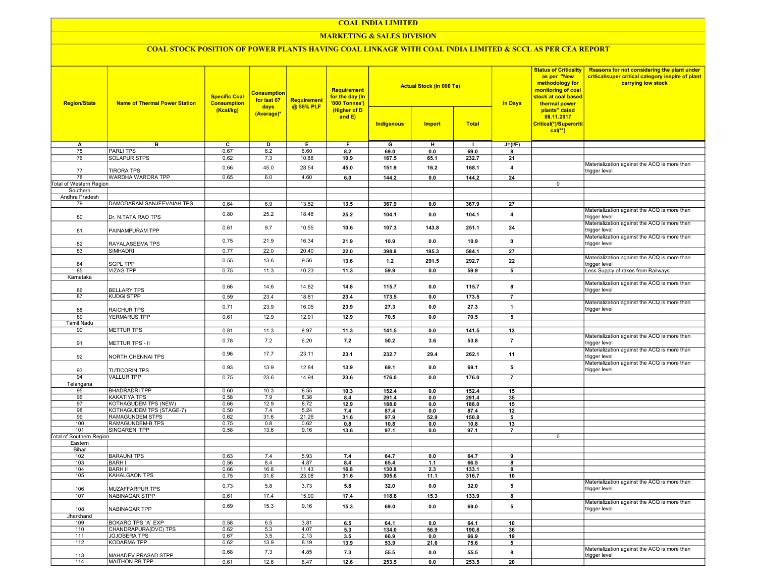### COAL INDIA LIMITED

### **MARKETING & SALES DIVISION**

# COAL STOCK POSITION OF POWER PLANTS HAVING COAL LINKAGE WITH COAL INDIA LIMITED & SCCL AS PER CEA REPORT

| <b>Region/State</b>             | <b>Consumption</b><br><b>Specific Coal</b><br>for last 07<br><b>Name of Thermal Power Station</b><br><b>Consumption</b><br>days<br>(Kcal/kg)<br>(Average)* |              |             |               | <b>Requirement</b><br>for the day (In<br>'000 Tonnes')<br>(Higher of D<br>and $E$ ) |               | <b>Actual Stock (In 000 Te)</b> |               | <b>In Days</b>  | <b>Status of Criticality</b><br>as per "New<br>methodology for<br>monitoring of coal<br>stock at coal based<br>thermal power<br>plants" dated<br>08.11.2017 | Reasons for not considering the plant under<br>critical/super critical category inspite of plant<br>carrying low stock |
|---------------------------------|------------------------------------------------------------------------------------------------------------------------------------------------------------|--------------|-------------|---------------|-------------------------------------------------------------------------------------|---------------|---------------------------------|---------------|-----------------|-------------------------------------------------------------------------------------------------------------------------------------------------------------|------------------------------------------------------------------------------------------------------------------------|
|                                 |                                                                                                                                                            |              |             |               |                                                                                     | Indigenous    | <b>Import</b>                   | <b>Total</b>  |                 | Critical(*)/Supercriti<br>$cal$ (**)                                                                                                                        |                                                                                                                        |
| Α                               | в                                                                                                                                                          | c            | D           | Е             | F.                                                                                  | G             | н                               | $\mathbf{I}$  | $J=(I/F)$       |                                                                                                                                                             |                                                                                                                        |
| 75                              | <b>PARLITPS</b>                                                                                                                                            | 0.67         | 8.2         | 6.60          | 8.2                                                                                 | 69.0          | 0.0                             | 69.0          | 8               |                                                                                                                                                             |                                                                                                                        |
| 76                              | <b>SOLAPUR STPS</b>                                                                                                                                        | 0.62         | 7.3         | 10.88         | 10.9                                                                                | 167.5         | 65.1                            | 232.7         | 21              |                                                                                                                                                             |                                                                                                                        |
| 77                              | <b>TIRORA TPS</b>                                                                                                                                          | 0.66         | 45.0        | 28.54         | 45.0                                                                                | 151.9         | 16.2                            | 168.1         | 4               |                                                                                                                                                             | Materialization against the ACQ is more than<br>trigger level                                                          |
| 78                              | WARDHA WARORA TPP                                                                                                                                          | 0.65         | 6.0         | 4.60          | 6.0                                                                                 | 144.2         | 0.0                             | 144.2         | 24              |                                                                                                                                                             |                                                                                                                        |
| <b>Total of Western Region</b>  |                                                                                                                                                            |              |             |               |                                                                                     |               |                                 |               |                 | $\mathbf 0$                                                                                                                                                 |                                                                                                                        |
| Southern<br>Andhra Pradesh      |                                                                                                                                                            |              |             |               |                                                                                     |               |                                 |               |                 |                                                                                                                                                             |                                                                                                                        |
| 79                              | DAMODARAM SANJEEVAIAH TPS                                                                                                                                  | 0.64         | 6.9         | 13.52         | 13.5                                                                                | 367.9         | 0.0                             | 367.9         | 27              |                                                                                                                                                             |                                                                                                                        |
|                                 |                                                                                                                                                            |              |             |               |                                                                                     |               |                                 |               |                 |                                                                                                                                                             | Materialization against the ACQ is more than                                                                           |
| 80                              | Dr. N.TATA RAO TPS                                                                                                                                         | 0.80         | 25.2        | 18.48         | 25.2                                                                                | 104.1         | 0.0                             | 104.1         | $\overline{4}$  |                                                                                                                                                             | trigger level<br>Materialization against the ACQ is more than                                                          |
| 81                              | PAINAMPURAM TPP                                                                                                                                            | 0.61         | 9.7         | 10.55         | 10.6                                                                                | 107.3         | 143.8                           | 251.1         | 24              |                                                                                                                                                             | trigger level                                                                                                          |
| 82                              | RAYALASEEMA TPS                                                                                                                                            | 0.75         | 21.9        | 16.34         | 21.9                                                                                | 10.9          | 0.0                             | 10.9          | $\mathbf 0$     |                                                                                                                                                             | Materialization against the ACQ is more than<br>trigger level                                                          |
| 83                              | SIMHADRI                                                                                                                                                   | 0.77         | 22.0        | 20.40         | 22.0                                                                                | 398.8         | 185.3                           | 584.1         | 27              |                                                                                                                                                             |                                                                                                                        |
| 84                              | <b>SGPL TPP</b>                                                                                                                                            | 0.55         | 13.6        | 9.56          | 13.6                                                                                | 1.2           | 291.5                           | 292.7         | 22              |                                                                                                                                                             | Materialization against the ACQ is more than<br>trigger level                                                          |
| 85                              | <b>VIZAG TPP</b>                                                                                                                                           | 0.75         | 11.3        | 10.23         | 11.3                                                                                | 59.9          | 0.0                             | 59.9          | 5               |                                                                                                                                                             | Less Supply of rakes from Railways                                                                                     |
| Karnataka                       |                                                                                                                                                            |              |             |               |                                                                                     |               |                                 |               |                 |                                                                                                                                                             |                                                                                                                        |
| 86                              | <b>BELLARY TPS</b>                                                                                                                                         | 0.66         | 14.6        | 14.82         | 14.8                                                                                | 115.7         | 0.0                             | 115.7         | 8               |                                                                                                                                                             | Materialization against the ACQ is more than<br>trigger level                                                          |
| 87                              | <b>KUDGI STPP</b>                                                                                                                                          | 0.59         | 23.4        | 18.81         | 23.4                                                                                | 173.5         | 0.0                             | 173.5         | $\overline{7}$  |                                                                                                                                                             | Materialization against the ACQ is more than                                                                           |
| 88                              | <b>RAICHUR TPS</b>                                                                                                                                         | 0.71         | 23.9        | 16.05         | 23.9                                                                                | 27.3          | 0.0                             | 27.3          | $\overline{1}$  |                                                                                                                                                             | trigger level                                                                                                          |
| 89                              | <b>YERMARUS TPP</b>                                                                                                                                        | 0.61         | 12.9        | 12.91         | 12.9                                                                                | 70.5          | 0.0                             | 70.5          | $5\overline{5}$ |                                                                                                                                                             |                                                                                                                        |
| <b>Tamil Nadu</b>               |                                                                                                                                                            |              |             |               |                                                                                     |               |                                 |               |                 |                                                                                                                                                             |                                                                                                                        |
| 90                              | <b>METTUR TPS</b>                                                                                                                                          | 0.81         | 11.3        | 8.97          | 11.3                                                                                | 141.5         | 0.0                             | 141.5         | 13              |                                                                                                                                                             |                                                                                                                        |
| 91                              | <b>METTUR TPS - II</b>                                                                                                                                     | 0.78         | 7.2         | 6.20          | 7.2                                                                                 | 50.2          | 3.6                             | 53.8          | $\overline{7}$  |                                                                                                                                                             | Materialization against the ACQ is more than<br>trigger level                                                          |
| 92                              | NORTH CHENNAI TPS                                                                                                                                          | 0.96         | 17.7        | 23.11         | 23.1                                                                                | 232.7         | 29.4                            | 262.1         | 11              |                                                                                                                                                             | Materialization against the ACQ is more than<br>trigger level                                                          |
| 93                              | <b>TUTICORIN TPS</b>                                                                                                                                       | 0.93         | 13.9        | 12.84         | 13.9                                                                                | 69.1          | 0.0                             | 69.1          | 5               |                                                                                                                                                             | Materialization against the ACQ is more than<br>trigger level                                                          |
| 94                              | <b>VALLUR TPP</b>                                                                                                                                          | 0.75         | 23.6        | 14.94         | 23.6                                                                                | 176.0         | 0.0                             | 176.0         | $\overline{7}$  |                                                                                                                                                             |                                                                                                                        |
| Telangana                       |                                                                                                                                                            |              |             |               |                                                                                     |               |                                 |               |                 |                                                                                                                                                             |                                                                                                                        |
| 95                              | <b>BHADRADRI TPP</b>                                                                                                                                       | 0.60         | 10.3        | 8.55          | 10.3                                                                                | 152.4         | 0.0                             | 152.4         | 15              |                                                                                                                                                             |                                                                                                                        |
| 96                              | <b>KAKATIYA TPS</b>                                                                                                                                        | 0.58         | 7.9         | 8.38          | 8.4                                                                                 | 291.4         | 0.0                             | 291.4         | 35              |                                                                                                                                                             |                                                                                                                        |
| 97                              | KOTHAGUDEM TPS (NEW)                                                                                                                                       | 0.66         | 12.9        | 8.72          | 12.9                                                                                | 188.0         | 0.0                             | 188.0         | 15              |                                                                                                                                                             |                                                                                                                        |
| 98<br>99                        | KOTHAGUDEM TPS (STAGE-7)                                                                                                                                   | 0.50<br>0.62 | 7.4<br>31.6 | 5.24<br>21.26 | 7.4<br>31.6                                                                         | 87.4<br>97.9  | 0.0                             | 87.4<br>150.8 | 12<br>5         |                                                                                                                                                             |                                                                                                                        |
| 100                             | RAMAGUNDEM STPS<br>RAMAGUNDEM-B TPS                                                                                                                        | 0.75         | 0.8         | 0.62          | 0.8                                                                                 | 10.8          | 52.9<br>0.0                     | 10.8          | 13              |                                                                                                                                                             |                                                                                                                        |
| 101                             | SINGARENI TPP                                                                                                                                              | 0.58         | 13.6        | 9.16          | 13.6                                                                                | 97.1          | 0.0                             | 97.1          | $\overline{7}$  |                                                                                                                                                             |                                                                                                                        |
| <b>Total of Southern Region</b> |                                                                                                                                                            |              |             |               |                                                                                     |               |                                 |               |                 | 0                                                                                                                                                           |                                                                                                                        |
| Eastern                         |                                                                                                                                                            |              |             |               |                                                                                     |               |                                 |               |                 |                                                                                                                                                             |                                                                                                                        |
| Bihar                           |                                                                                                                                                            |              |             |               |                                                                                     |               |                                 |               |                 |                                                                                                                                                             |                                                                                                                        |
| 102<br>103                      | <b>BARAUNI TPS</b><br><b>BARHI</b>                                                                                                                         | 0.63<br>0.56 | 7.4<br>8.4  | 5.93<br>4.87  | 7.4<br>8.4                                                                          | 64.7<br>65.4  | 0.0<br>1.1                      | 64.7<br>66.5  | 9<br>8          |                                                                                                                                                             |                                                                                                                        |
| 104                             | <b>BARH II</b>                                                                                                                                             | 0.66         | 16.8        | 11.43         | 16.8                                                                                | 130.8         | 2.3                             | 133.1         | 8               |                                                                                                                                                             |                                                                                                                        |
| 105                             | KAHALGAON TPS                                                                                                                                              | 0.75         | 31.6        | 23.08         | 31.6                                                                                | 305.6         | 11.1                            | 316.7         | 10              |                                                                                                                                                             |                                                                                                                        |
| 106                             | <b>MUZAFFARPUR TPS</b>                                                                                                                                     | 0.73         | 5.8         | 3.73          | 5.8                                                                                 | 32.0          | 0.0                             | 32.0          | 5               |                                                                                                                                                             | Materialization against the ACQ is more than<br>trigger level                                                          |
| 107                             | NABINAGAR STPP                                                                                                                                             | 0.61         | 17.4        | 15.90         | 17.4                                                                                | 118.6         | 15.3                            | 133.9         | 8               |                                                                                                                                                             |                                                                                                                        |
| 108                             | NABINAGAR TPP                                                                                                                                              | 0.69         | 15.3        | 9.16          | 15.3                                                                                | 69.0          | 0.0                             | 69.0          | 5               |                                                                                                                                                             | Materialization against the ACQ is more than<br>trigger level                                                          |
| Jharkhand                       |                                                                                                                                                            |              |             |               |                                                                                     |               |                                 |               |                 |                                                                                                                                                             |                                                                                                                        |
| 109                             | BOKARO TPS 'A' EXP                                                                                                                                         | 0.58         | 6.5         | 3.81          | 6.5                                                                                 | 64.1          | 0.0                             | 64.1          | 10              |                                                                                                                                                             |                                                                                                                        |
| 110                             | CHANDRAPURA(DVC) TPS                                                                                                                                       | 0.62         | 5.3         | 4.07          | 5.3                                                                                 | 134.0         | 56.9                            | 190.8         | 36              |                                                                                                                                                             |                                                                                                                        |
| 111                             | JOJOBERA TPS<br><b>KODARMA TPP</b>                                                                                                                         | 0.67         | 3.5         | 2.13          | 3.5                                                                                 | 66.9          | 0.0                             | 66.9          | 19              |                                                                                                                                                             |                                                                                                                        |
| 112                             |                                                                                                                                                            | 0.62         | 13.9        | 8.19          | 13.9                                                                                | 53.9          | 21.6                            | 75.6          | 5               |                                                                                                                                                             | Materialization against the ACQ is more than                                                                           |
| 113<br>114                      | MAHADEV PRASAD STPP<br>MAITHON RB TPP                                                                                                                      | 0.68<br>0.61 | 7.3<br>12.6 | 4.85<br>8.47  | 7.3<br>12.6                                                                         | 55.5<br>253.5 | 0.0<br>0.0                      | 55.5<br>253.5 | 8<br>20         |                                                                                                                                                             | trigger level                                                                                                          |
|                                 |                                                                                                                                                            |              |             |               |                                                                                     |               |                                 |               |                 |                                                                                                                                                             |                                                                                                                        |